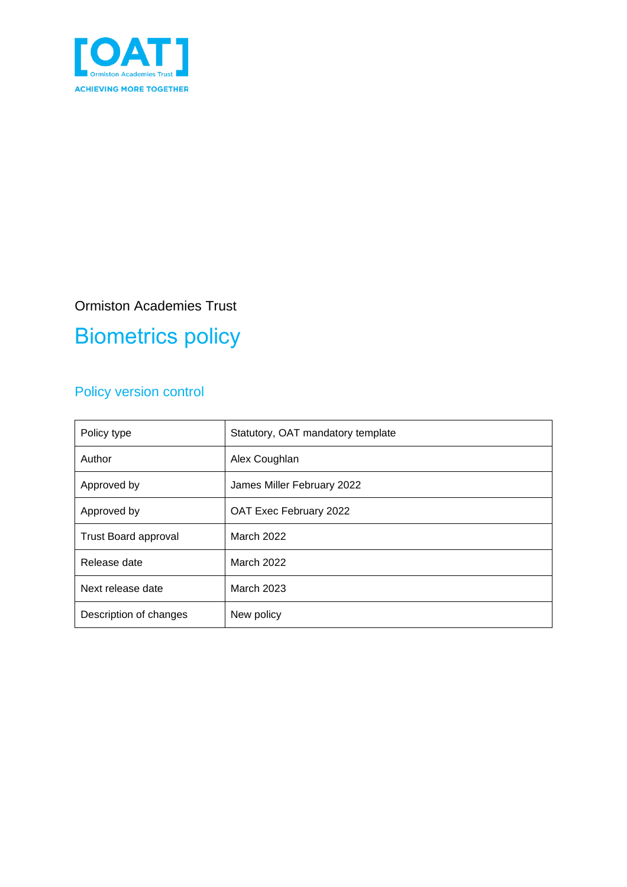

#### Ormiston Academies Trust

# Biometrics policy

#### Policy version control

| Policy type                 | Statutory, OAT mandatory template |
|-----------------------------|-----------------------------------|
| Author                      | Alex Coughlan                     |
| Approved by                 | James Miller February 2022        |
| Approved by                 | OAT Exec February 2022            |
| <b>Trust Board approval</b> | March 2022                        |
| Release date                | March 2022                        |
| Next release date           | <b>March 2023</b>                 |
| Description of changes      | New policy                        |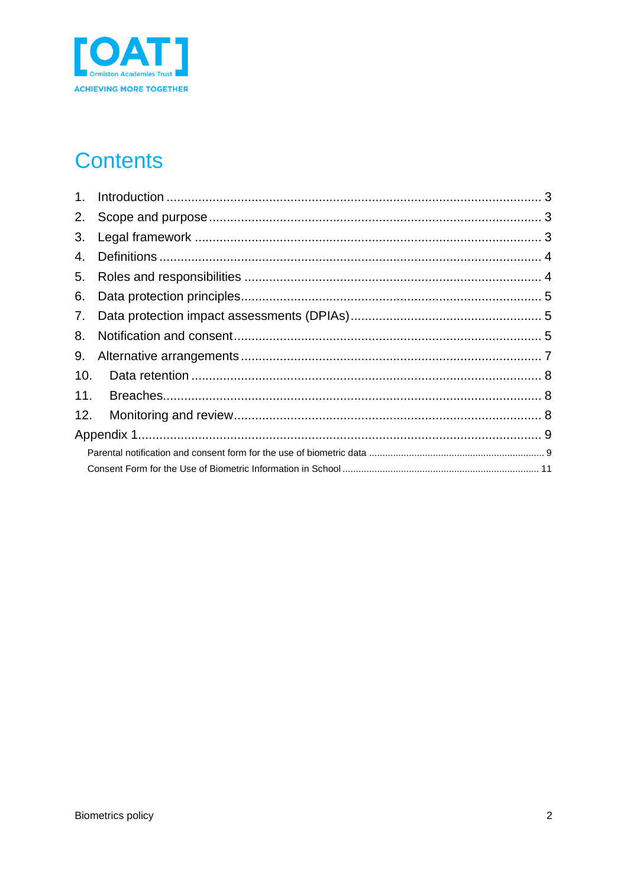

# **Contents**

| $1_{\cdot}$ |  |
|-------------|--|
| 2.          |  |
| 3.          |  |
| 4.          |  |
| 5.          |  |
| 6.          |  |
| 7.          |  |
| 8.          |  |
| 9.          |  |
| 10.         |  |
| 11.         |  |
| 12.         |  |
|             |  |
|             |  |
|             |  |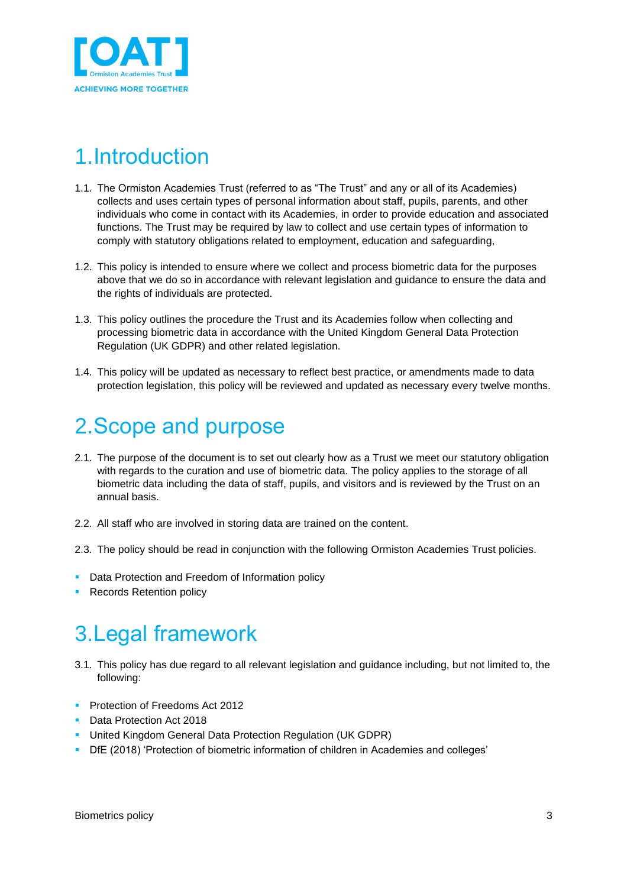

## <span id="page-2-0"></span>1.Introduction

- 1.1. The Ormiston Academies Trust (referred to as "The Trust" and any or all of its Academies) collects and uses certain types of personal information about staff, pupils, parents, and other individuals who come in contact with its Academies, in order to provide education and associated functions. The Trust may be required by law to collect and use certain types of information to comply with statutory obligations related to employment, education and safeguarding,
- 1.2. This policy is intended to ensure where we collect and process biometric data for the purposes above that we do so in accordance with relevant legislation and guidance to ensure the data and the rights of individuals are protected.
- 1.3. This policy outlines the procedure the Trust and its Academies follow when collecting and processing biometric data in accordance with the United Kingdom General Data Protection Regulation (UK GDPR) and other related legislation.
- 1.4. This policy will be updated as necessary to reflect best practice, or amendments made to data protection legislation, this policy will be reviewed and updated as necessary every twelve months.

#### <span id="page-2-1"></span>2.Scope and purpose

- 2.1. The purpose of the document is to set out clearly how as a Trust we meet our statutory obligation with regards to the curation and use of biometric data. The policy applies to the storage of all biometric data including the data of staff, pupils, and visitors and is reviewed by the Trust on an annual basis.
- 2.2. All staff who are involved in storing data are trained on the content.
- 2.3. The policy should be read in conjunction with the following Ormiston Academies Trust policies.
- **Data Protection and Freedom of Information policy**
- **Records Retention policy**

### <span id="page-2-2"></span>3.Legal framework

- 3.1. This policy has due regard to all relevant legislation and guidance including, but not limited to, the following:
- **Protection of Freedoms Act 2012**
- **Data Protection Act 2018**
- United Kingdom General Data Protection Regulation (UK GDPR)
- DfE (2018) 'Protection of biometric information of children in Academies and colleges'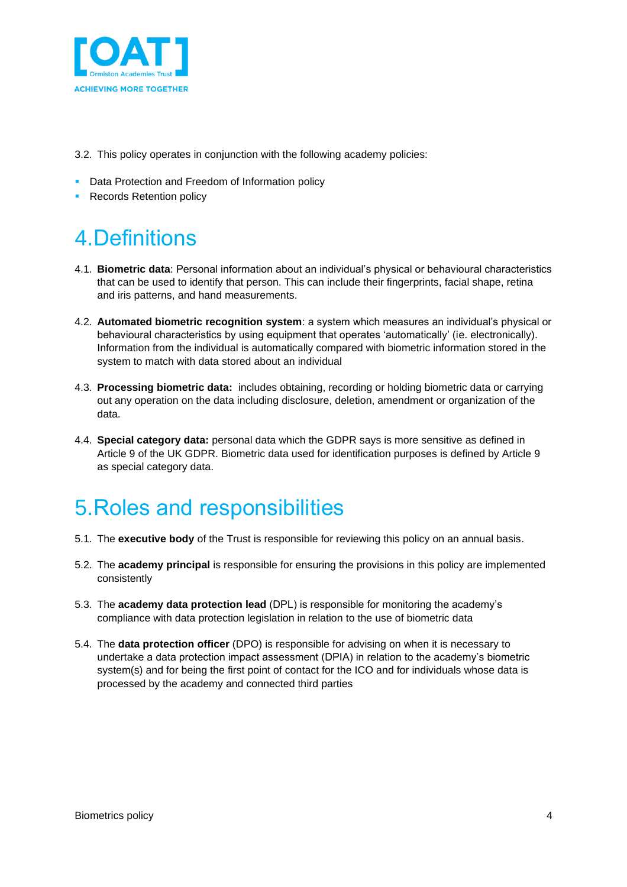

- 3.2. This policy operates in conjunction with the following academy policies:
- **Data Protection and Freedom of Information policy**
- Records Retention policy

# <span id="page-3-0"></span>4.Definitions

- 4.1. **Biometric data**: Personal information about an individual's physical or behavioural characteristics that can be used to identify that person. This can include their fingerprints, facial shape, retina and iris patterns, and hand measurements.
- 4.2. **Automated biometric recognition system**: a system which measures an individual's physical or behavioural characteristics by using equipment that operates 'automatically' (ie. electronically). Information from the individual is automatically compared with biometric information stored in the system to match with data stored about an individual
- 4.3. **Processing biometric data:** includes obtaining, recording or holding biometric data or carrying out any operation on the data including disclosure, deletion, amendment or organization of the data.
- 4.4. **Special category data:** personal data which the GDPR says is more sensitive as defined in Article 9 of the UK GDPR. Biometric data used for identification purposes is defined by Article 9 as special category data.

## <span id="page-3-1"></span>5.Roles and responsibilities

- 5.1. The **executive body** of the Trust is responsible for reviewing this policy on an annual basis.
- 5.2. The **academy principal** is responsible for ensuring the provisions in this policy are implemented consistently
- 5.3. The **academy data protection lead** (DPL) is responsible for monitoring the academy's compliance with data protection legislation in relation to the use of biometric data
- 5.4. The **data protection officer** (DPO) is responsible for advising on when it is necessary to undertake a data protection impact assessment (DPIA) in relation to the academy's biometric system(s) and for being the first point of contact for the ICO and for individuals whose data is processed by the academy and connected third parties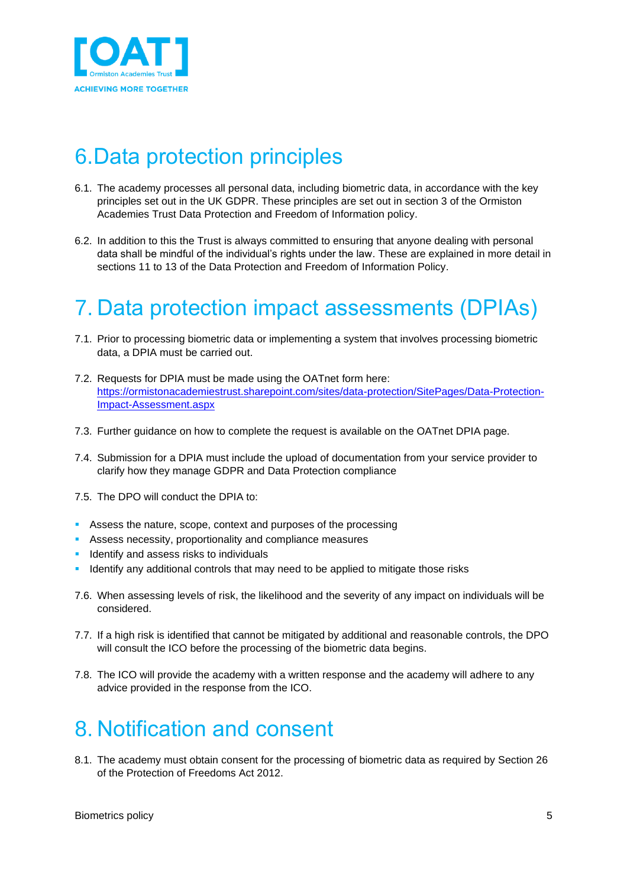

# <span id="page-4-0"></span>6.Data protection principles

- 6.1. The academy processes all personal data, including biometric data, in accordance with the key principles set out in the UK GDPR. These principles are set out in section 3 of the Ormiston Academies Trust Data Protection and Freedom of Information policy.
- 6.2. In addition to this the Trust is always committed to ensuring that anyone dealing with personal data shall be mindful of the individual's rights under the law. These are explained in more detail in sections 11 to 13 of the Data Protection and Freedom of Information Policy.

## <span id="page-4-1"></span>7. Data protection impact assessments (DPIAs)

- 7.1. Prior to processing biometric data or implementing a system that involves processing biometric data, a DPIA must be carried out.
- 7.2. Requests for DPIA must be made using the OATnet form here: [https://ormistonacademiestrust.sharepoint.com/sites/data-protection/SitePages/Data-Protection-](https://ormistonacademiestrust.sharepoint.com/sites/data-protection/SitePages/Data-Protection-Impact-Assessment.aspx)[Impact-Assessment.aspx](https://ormistonacademiestrust.sharepoint.com/sites/data-protection/SitePages/Data-Protection-Impact-Assessment.aspx)
- 7.3. Further guidance on how to complete the request is available on the OATnet DPIA page.
- 7.4. Submission for a DPIA must include the upload of documentation from your service provider to clarify how they manage GDPR and Data Protection compliance
- 7.5. The DPO will conduct the DPIA to:
- Assess the nature, scope, context and purposes of the processing
- Assess necessity, proportionality and compliance measures
- **EXECUTE:** Identify and assess risks to individuals
- **E** Identify any additional controls that may need to be applied to mitigate those risks
- 7.6. When assessing levels of risk, the likelihood and the severity of any impact on individuals will be considered.
- 7.7. If a high risk is identified that cannot be mitigated by additional and reasonable controls, the DPO will consult the ICO before the processing of the biometric data begins.
- 7.8. The ICO will provide the academy with a written response and the academy will adhere to any advice provided in the response from the ICO.

## <span id="page-4-2"></span>8. Notification and consent

8.1. The academy must obtain consent for the processing of biometric data as required by Section 26 of the Protection of Freedoms Act 2012.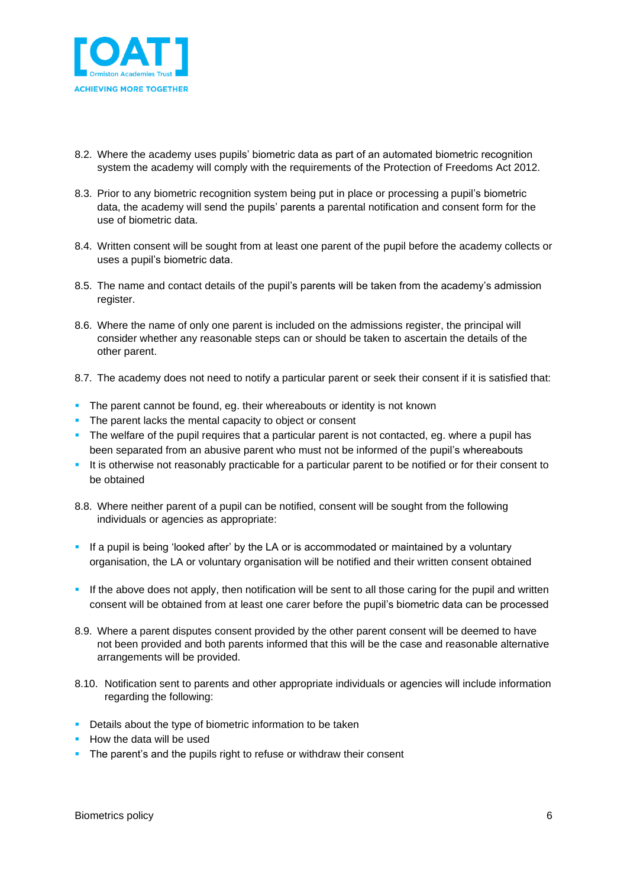

- 8.2. Where the academy uses pupils' biometric data as part of an automated biometric recognition system the academy will comply with the requirements of the Protection of Freedoms Act 2012.
- 8.3. Prior to any biometric recognition system being put in place or processing a pupil's biometric data, the academy will send the pupils' parents a parental notification and consent form for the use of biometric data.
- 8.4. Written consent will be sought from at least one parent of the pupil before the academy collects or uses a pupil's biometric data.
- 8.5. The name and contact details of the pupil's parents will be taken from the academy's admission register.
- 8.6. Where the name of only one parent is included on the admissions register, the principal will consider whether any reasonable steps can or should be taken to ascertain the details of the other parent.
- 8.7. The academy does not need to notify a particular parent or seek their consent if it is satisfied that:
- **•** The parent cannot be found, eg. their whereabouts or identity is not known
- **•** The parent lacks the mental capacity to object or consent
- **•** The welfare of the pupil requires that a particular parent is not contacted, eg. where a pupil has been separated from an abusive parent who must not be informed of the pupil's whereabouts
- It is otherwise not reasonably practicable for a particular parent to be notified or for their consent to be obtained
- 8.8. Where neither parent of a pupil can be notified, consent will be sought from the following individuals or agencies as appropriate:
- **•** If a pupil is being 'looked after' by the LA or is accommodated or maintained by a voluntary organisation, the LA or voluntary organisation will be notified and their written consent obtained
- If the above does not apply, then notification will be sent to all those caring for the pupil and written consent will be obtained from at least one carer before the pupil's biometric data can be processed
- 8.9. Where a parent disputes consent provided by the other parent consent will be deemed to have not been provided and both parents informed that this will be the case and reasonable alternative arrangements will be provided.
- 8.10. Notification sent to parents and other appropriate individuals or agencies will include information regarding the following:
- **Details about the type of biometric information to be taken**
- **How the data will be used**
- **The parent's and the pupils right to refuse or withdraw their consent**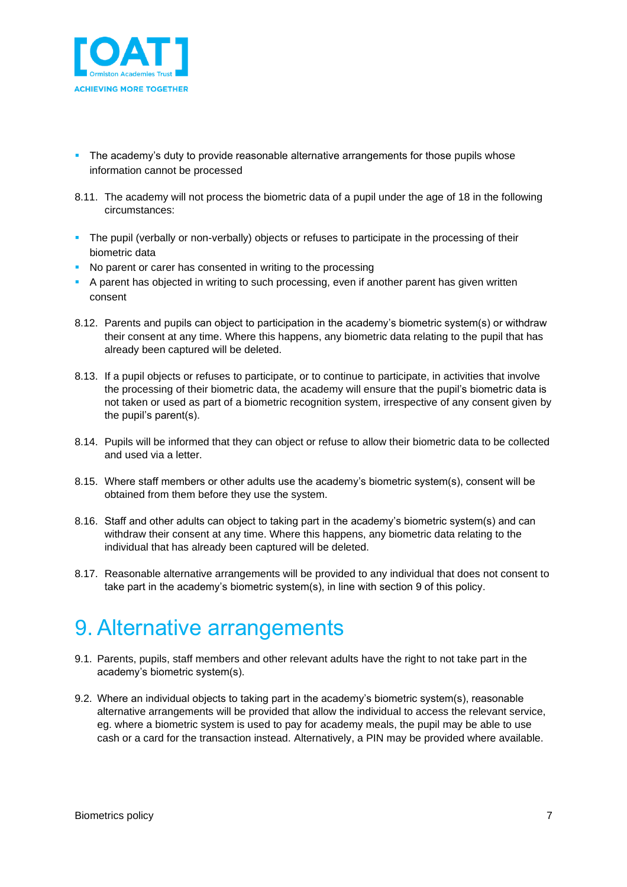

- **•** The academy's duty to provide reasonable alternative arrangements for those pupils whose information cannot be processed
- 8.11. The academy will not process the biometric data of a pupil under the age of 18 in the following circumstances:
- The pupil (verbally or non-verbally) objects or refuses to participate in the processing of their biometric data
- No parent or carer has consented in writing to the processing
- **EXT** A parent has objected in writing to such processing, even if another parent has given written consent
- 8.12. Parents and pupils can object to participation in the academy's biometric system(s) or withdraw their consent at any time. Where this happens, any biometric data relating to the pupil that has already been captured will be deleted.
- 8.13. If a pupil objects or refuses to participate, or to continue to participate, in activities that involve the processing of their biometric data, the academy will ensure that the pupil's biometric data is not taken or used as part of a biometric recognition system, irrespective of any consent given by the pupil's parent(s).
- 8.14. Pupils will be informed that they can object or refuse to allow their biometric data to be collected and used via a letter.
- 8.15. Where staff members or other adults use the academy's biometric system(s), consent will be obtained from them before they use the system.
- 8.16. Staff and other adults can object to taking part in the academy's biometric system(s) and can withdraw their consent at any time. Where this happens, any biometric data relating to the individual that has already been captured will be deleted.
- 8.17. Reasonable alternative arrangements will be provided to any individual that does not consent to take part in the academy's biometric system(s), in line with section 9 of this policy.

### <span id="page-6-0"></span>9. Alternative arrangements

- 9.1. Parents, pupils, staff members and other relevant adults have the right to not take part in the academy's biometric system(s).
- 9.2. Where an individual objects to taking part in the academy's biometric system(s), reasonable alternative arrangements will be provided that allow the individual to access the relevant service, eg. where a biometric system is used to pay for academy meals, the pupil may be able to use cash or a card for the transaction instead. Alternatively, a PIN may be provided where available.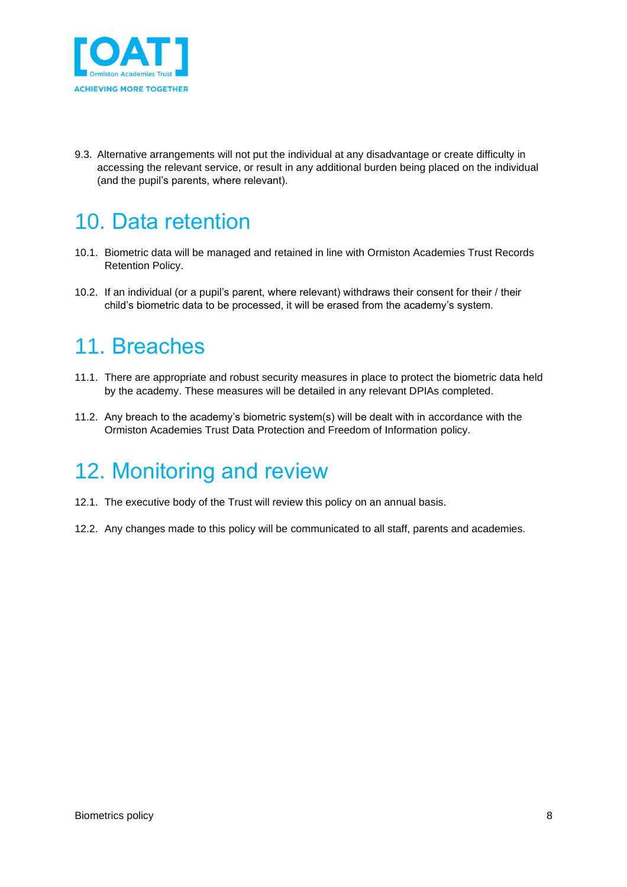

9.3. Alternative arrangements will not put the individual at any disadvantage or create difficulty in accessing the relevant service, or result in any additional burden being placed on the individual (and the pupil's parents, where relevant).

## <span id="page-7-0"></span>10. Data retention

- 10.1. Biometric data will be managed and retained in line with Ormiston Academies Trust Records Retention Policy.
- 10.2. If an individual (or a pupil's parent, where relevant) withdraws their consent for their / their child's biometric data to be processed, it will be erased from the academy's system.

### <span id="page-7-1"></span>11. Breaches

- 11.1. There are appropriate and robust security measures in place to protect the biometric data held by the academy. These measures will be detailed in any relevant DPIAs completed.
- 11.2. Any breach to the academy's biometric system(s) will be dealt with in accordance with the Ormiston Academies Trust Data Protection and Freedom of Information policy.

## <span id="page-7-2"></span>12. Monitoring and review

- 12.1. The executive body of the Trust will review this policy on an annual basis.
- 12.2. Any changes made to this policy will be communicated to all staff, parents and academies.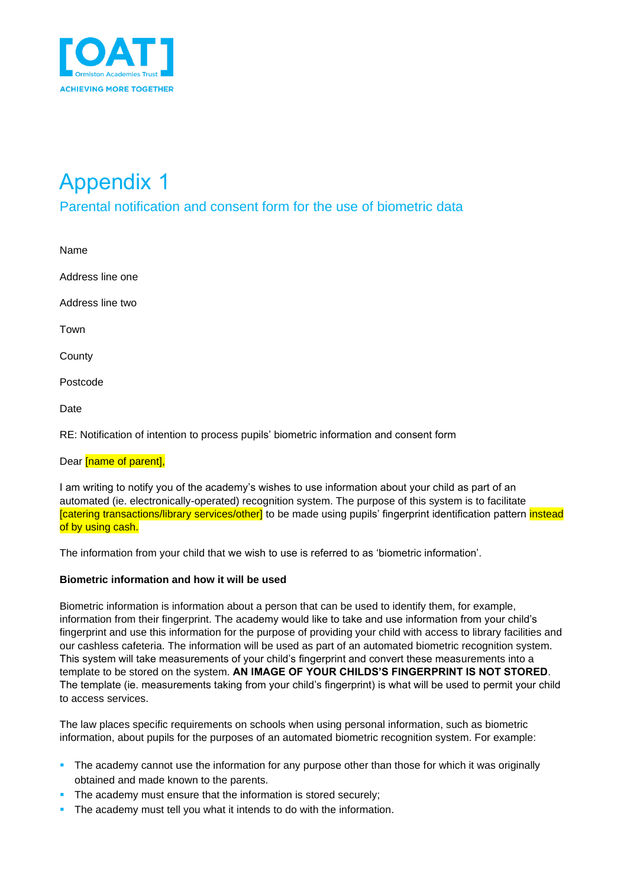

# <span id="page-8-0"></span>Appendix 1

#### <span id="page-8-1"></span>Parental notification and consent form for the use of biometric data

Name Address line one Address line two Town **County** Postcode Date

RE: Notification of intention to process pupils' biometric information and consent form

#### Dear *[name of parent]*,

I am writing to notify you of the academy's wishes to use information about your child as part of an automated (ie. electronically-operated) recognition system. The purpose of this system is to facilitate [catering transactions/library services/other] to be made using pupils' fingerprint identification pattern instead of by using cash.

The information from your child that we wish to use is referred to as 'biometric information'.

#### **Biometric information and how it will be used**

Biometric information is information about a person that can be used to identify them, for example, information from their fingerprint. The academy would like to take and use information from your child's fingerprint and use this information for the purpose of providing your child with access to library facilities and our cashless cafeteria. The information will be used as part of an automated biometric recognition system. This system will take measurements of your child's fingerprint and convert these measurements into a template to be stored on the system. **AN IMAGE OF YOUR CHILDS'S FINGERPRINT IS NOT STORED**. The template (ie. measurements taking from your child's fingerprint) is what will be used to permit your child to access services.

The law places specific requirements on schools when using personal information, such as biometric information, about pupils for the purposes of an automated biometric recognition system. For example:

- **•** The academy cannot use the information for any purpose other than those for which it was originally obtained and made known to the parents.
- **•** The academy must ensure that the information is stored securely;
- **•** The academy must tell you what it intends to do with the information.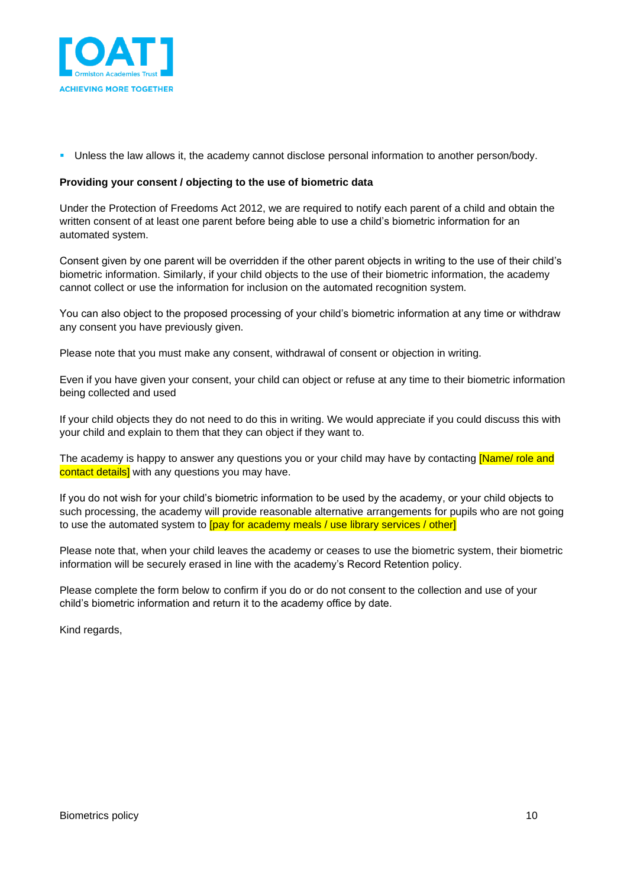

▪ Unless the law allows it, the academy cannot disclose personal information to another person/body.

#### **Providing your consent / objecting to the use of biometric data**

Under the Protection of Freedoms Act 2012, we are required to notify each parent of a child and obtain the written consent of at least one parent before being able to use a child's biometric information for an automated system.

Consent given by one parent will be overridden if the other parent objects in writing to the use of their child's biometric information. Similarly, if your child objects to the use of their biometric information, the academy cannot collect or use the information for inclusion on the automated recognition system.

You can also object to the proposed processing of your child's biometric information at any time or withdraw any consent you have previously given.

Please note that you must make any consent, withdrawal of consent or objection in writing.

Even if you have given your consent, your child can object or refuse at any time to their biometric information being collected and used

If your child objects they do not need to do this in writing. We would appreciate if you could discuss this with your child and explain to them that they can object if they want to.

The academy is happy to answer any questions you or your child may have by contacting **[Name/ role and** contact details] with any questions you may have.

If you do not wish for your child's biometric information to be used by the academy, or your child objects to such processing, the academy will provide reasonable alternative arrangements for pupils who are not going to use the automated system to **[pay for academy meals / use library services / other]** 

Please note that, when your child leaves the academy or ceases to use the biometric system, their biometric information will be securely erased in line with the academy's Record Retention policy.

Please complete the form below to confirm if you do or do not consent to the collection and use of your child's biometric information and return it to the academy office by date.

Kind regards,